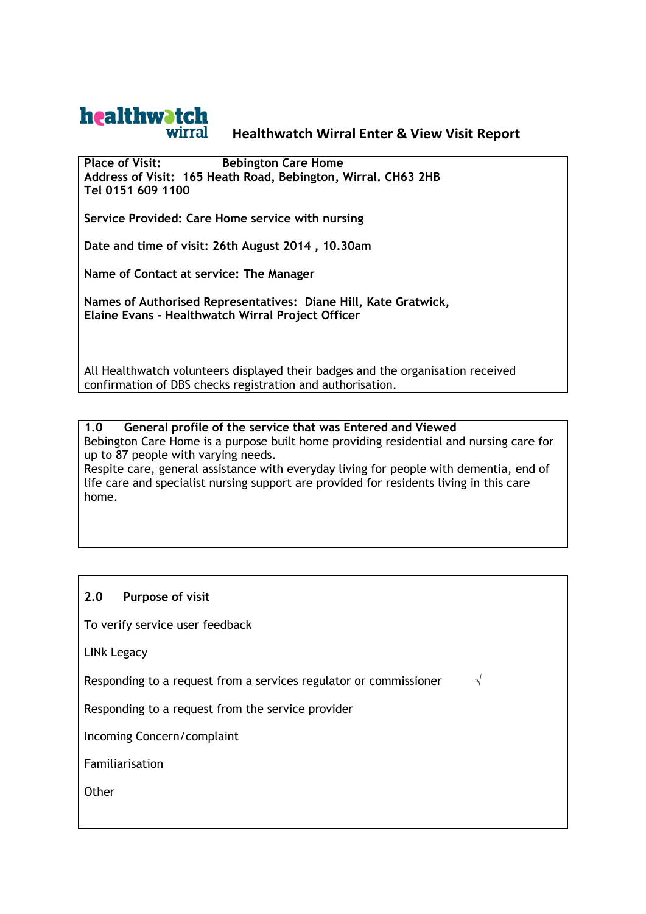

# **Healthwatch Wirral Enter & View Visit Report**

**Place of Visit: Bebington Care Home Address of Visit: 165 Heath Road, Bebington, Wirral. CH63 2HB Tel 0151 609 1100**

**Service Provided: Care Home service with nursing**

**Date and time of visit: 26th August 2014 , 10.30am**

**Name of Contact at service: The Manager**

**Names of Authorised Representatives: Diane Hill, Kate Gratwick, Elaine Evans - Healthwatch Wirral Project Officer**

All Healthwatch volunteers displayed their badges and the organisation received confirmation of DBS checks registration and authorisation.

**1.0 General profile of the service that was Entered and Viewed**  Bebington Care Home is a purpose built home providing residential and nursing care for up to 87 people with varying needs.

Respite care, general assistance with everyday living for people with dementia, end of life care and specialist nursing support are provided for residents living in this care home.

## **2.0 Purpose of visit**

To verify service user feedback

LINk Legacy

Responding to a request from a services regulator or commissioner  $\sqrt{ }$ 

Responding to a request from the service provider

Incoming Concern/complaint

Familiarisation

**Other**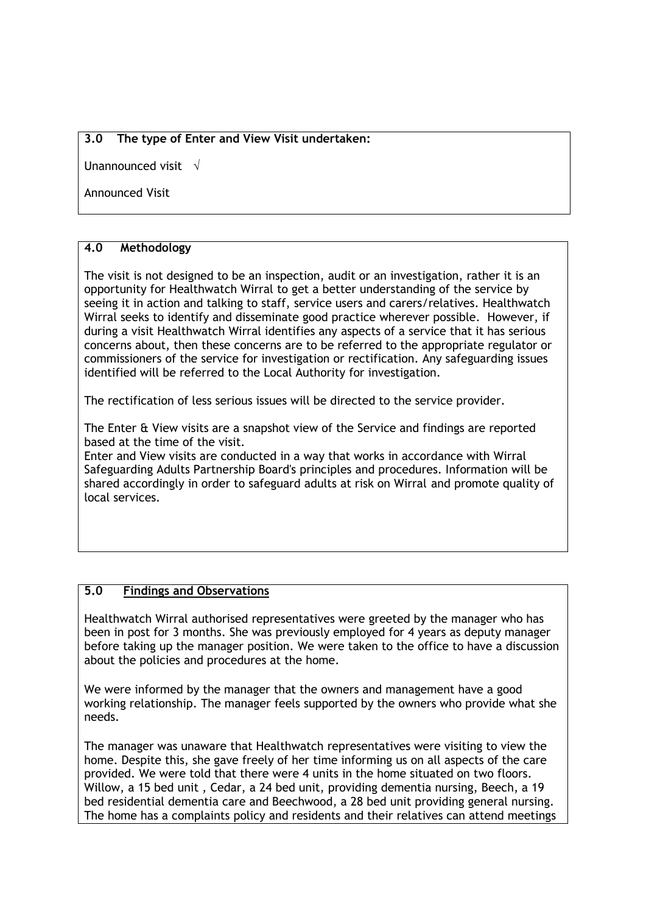## **3.0 The type of Enter and View Visit undertaken:**

Unannounced visit  $\sqrt{}$ 

Announced Visit

# **4.0 Methodology**

The visit is not designed to be an inspection, audit or an investigation, rather it is an opportunity for Healthwatch Wirral to get a better understanding of the service by seeing it in action and talking to staff, service users and carers/relatives. Healthwatch Wirral seeks to identify and disseminate good practice wherever possible. However, if during a visit Healthwatch Wirral identifies any aspects of a service that it has serious concerns about, then these concerns are to be referred to the appropriate regulator or commissioners of the service for investigation or rectification. Any safeguarding issues identified will be referred to the Local Authority for investigation.

The rectification of less serious issues will be directed to the service provider.

The Enter & View visits are a snapshot view of the Service and findings are reported based at the time of the visit.

Enter and View visits are conducted in a way that works in accordance with Wirral Safeguarding Adults Partnership Board's principles and procedures. Information will be shared accordingly in order to safeguard adults at risk on Wirral and promote quality of local services.

## **5.0 Findings and Observations**

Healthwatch Wirral authorised representatives were greeted by the manager who has been in post for 3 months. She was previously employed for 4 years as deputy manager before taking up the manager position. We were taken to the office to have a discussion about the policies and procedures at the home.

We were informed by the manager that the owners and management have a good working relationship. The manager feels supported by the owners who provide what she needs.

The manager was unaware that Healthwatch representatives were visiting to view the home. Despite this, she gave freely of her time informing us on all aspects of the care provided. We were told that there were 4 units in the home situated on two floors. Willow, a 15 bed unit , Cedar, a 24 bed unit, providing dementia nursing, Beech, a 19 bed residential dementia care and Beechwood, a 28 bed unit providing general nursing. The home has a complaints policy and residents and their relatives can attend meetings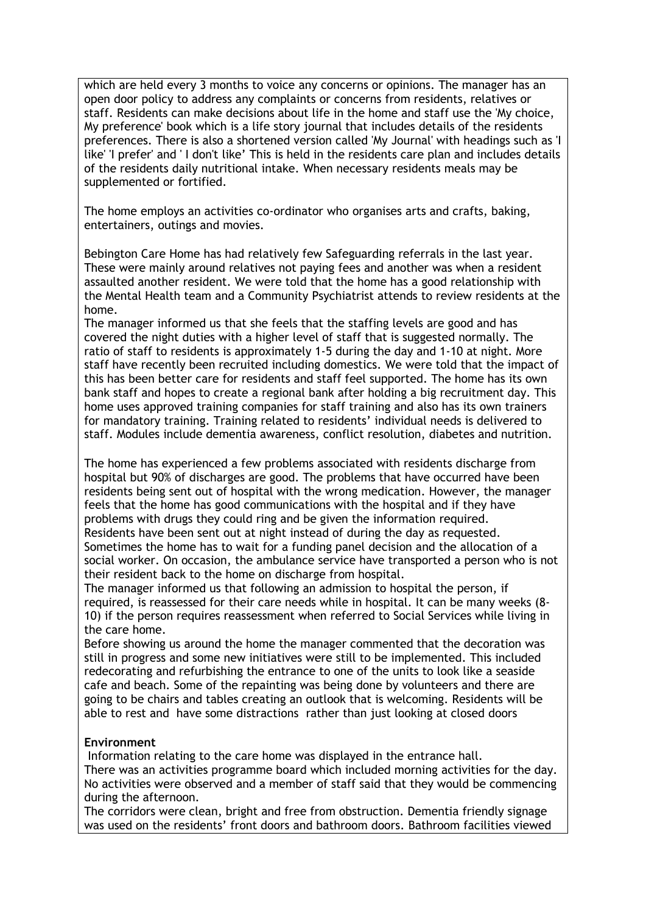which are held every 3 months to voice any concerns or opinions. The manager has an open door policy to address any complaints or concerns from residents, relatives or staff. Residents can make decisions about life in the home and staff use the 'My choice, My preference' book which is a life story journal that includes details of the residents preferences. There is also a shortened version called 'My Journal' with headings such as 'I like' 'I prefer' and ' I don't like' This is held in the residents care plan and includes details of the residents daily nutritional intake. When necessary residents meals may be supplemented or fortified.

The home employs an activities co-ordinator who organises arts and crafts, baking, entertainers, outings and movies.

Bebington Care Home has had relatively few Safeguarding referrals in the last year. These were mainly around relatives not paying fees and another was when a resident assaulted another resident. We were told that the home has a good relationship with the Mental Health team and a Community Psychiatrist attends to review residents at the home.

The manager informed us that she feels that the staffing levels are good and has covered the night duties with a higher level of staff that is suggested normally. The ratio of staff to residents is approximately 1-5 during the day and 1-10 at night. More staff have recently been recruited including domestics. We were told that the impact of this has been better care for residents and staff feel supported. The home has its own bank staff and hopes to create a regional bank after holding a big recruitment day. This home uses approved training companies for staff training and also has its own trainers for mandatory training. Training related to residents' individual needs is delivered to staff. Modules include dementia awareness, conflict resolution, diabetes and nutrition.

The home has experienced a few problems associated with residents discharge from hospital but 90% of discharges are good. The problems that have occurred have been residents being sent out of hospital with the wrong medication. However, the manager feels that the home has good communications with the hospital and if they have problems with drugs they could ring and be given the information required. Residents have been sent out at night instead of during the day as requested. Sometimes the home has to wait for a funding panel decision and the allocation of a social worker. On occasion, the ambulance service have transported a person who is not their resident back to the home on discharge from hospital.

The manager informed us that following an admission to hospital the person, if required, is reassessed for their care needs while in hospital. It can be many weeks (8- 10) if the person requires reassessment when referred to Social Services while living in the care home.

Before showing us around the home the manager commented that the decoration was still in progress and some new initiatives were still to be implemented. This included redecorating and refurbishing the entrance to one of the units to look like a seaside cafe and beach. Some of the repainting was being done by volunteers and there are going to be chairs and tables creating an outlook that is welcoming. Residents will be able to rest and have some distractions rather than just looking at closed doors

#### **Environment**

Information relating to the care home was displayed in the entrance hall. There was an activities programme board which included morning activities for the day. No activities were observed and a member of staff said that they would be commencing during the afternoon.

The corridors were clean, bright and free from obstruction. Dementia friendly signage was used on the residents' front doors and bathroom doors. Bathroom facilities viewed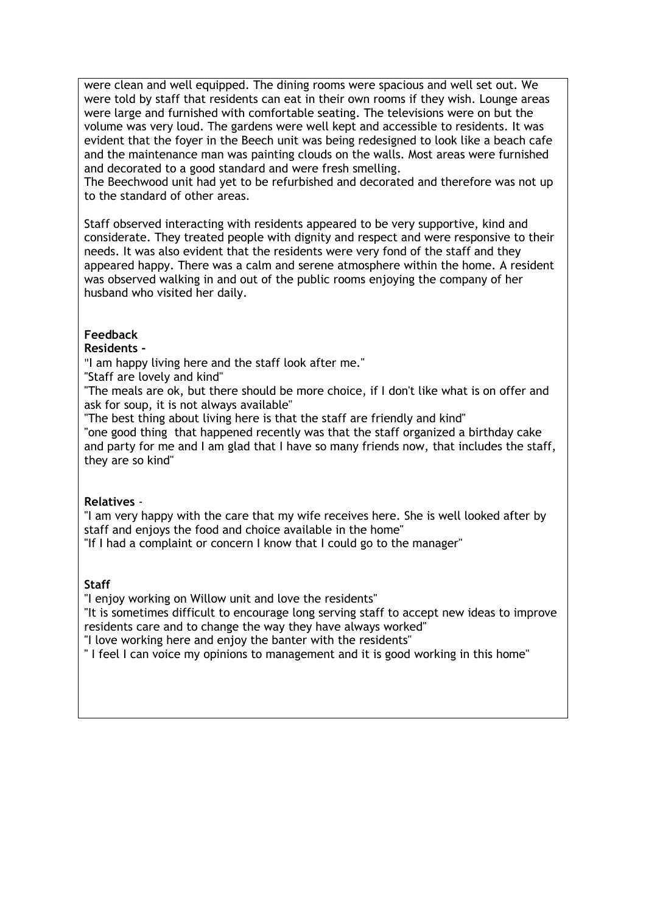were clean and well equipped. The dining rooms were spacious and well set out. We were told by staff that residents can eat in their own rooms if they wish. Lounge areas were large and furnished with comfortable seating. The televisions were on but the volume was very loud. The gardens were well kept and accessible to residents. It was evident that the foyer in the Beech unit was being redesigned to look like a beach cafe and the maintenance man was painting clouds on the walls. Most areas were furnished and decorated to a good standard and were fresh smelling.

The Beechwood unit had yet to be refurbished and decorated and therefore was not up to the standard of other areas.

Staff observed interacting with residents appeared to be very supportive, kind and considerate. They treated people with dignity and respect and were responsive to their needs. It was also evident that the residents were very fond of the staff and they appeared happy. There was a calm and serene atmosphere within the home. A resident was observed walking in and out of the public rooms enjoying the company of her husband who visited her daily.

#### **Feedback**

#### **Residents -**

"I am happy living here and the staff look after me."

"Staff are lovely and kind"

"The meals are ok, but there should be more choice, if I don't like what is on offer and ask for soup, it is not always available"

"The best thing about living here is that the staff are friendly and kind"

"one good thing that happened recently was that the staff organized a birthday cake and party for me and I am glad that I have so many friends now, that includes the staff, they are so kind"

#### **Relatives** -

"I am very happy with the care that my wife receives here. She is well looked after by staff and enjoys the food and choice available in the home"

"If I had a complaint or concern I know that I could go to the manager"

## **Staff**

"I enjoy working on Willow unit and love the residents"

"It is sometimes difficult to encourage long serving staff to accept new ideas to improve residents care and to change the way they have always worked"

"I love working here and enjoy the banter with the residents"

" I feel I can voice my opinions to management and it is good working in this home"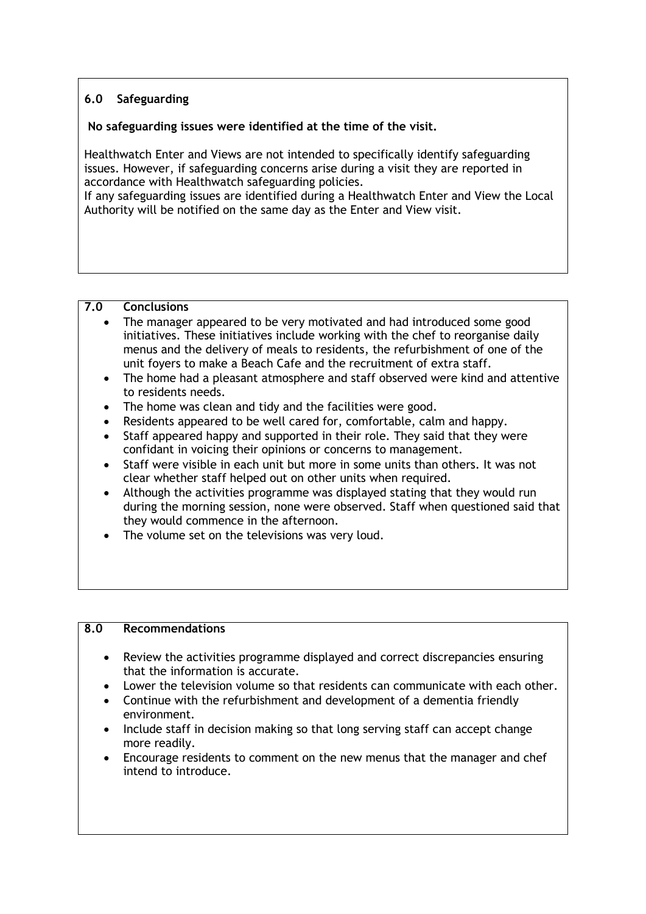# **6.0 Safeguarding**

#### **No safeguarding issues were identified at the time of the visit.**

Healthwatch Enter and Views are not intended to specifically identify safeguarding issues. However, if safeguarding concerns arise during a visit they are reported in accordance with Healthwatch safeguarding policies.

If any safeguarding issues are identified during a Healthwatch Enter and View the Local Authority will be notified on the same day as the Enter and View visit.

## **7.0 Conclusions**

- The manager appeared to be very motivated and had introduced some good initiatives. These initiatives include working with the chef to reorganise daily menus and the delivery of meals to residents, the refurbishment of one of the unit foyers to make a Beach Cafe and the recruitment of extra staff.
- The home had a pleasant atmosphere and staff observed were kind and attentive to residents needs.
- The home was clean and tidy and the facilities were good.
- Residents appeared to be well cared for, comfortable, calm and happy.
- Staff appeared happy and supported in their role. They said that they were confidant in voicing their opinions or concerns to management.
- Staff were visible in each unit but more in some units than others. It was not clear whether staff helped out on other units when required.
- Although the activities programme was displayed stating that they would run during the morning session, none were observed. Staff when questioned said that they would commence in the afternoon.
- The volume set on the televisions was very loud.

#### **8.0 Recommendations**

- Review the activities programme displayed and correct discrepancies ensuring that the information is accurate.
- Lower the television volume so that residents can communicate with each other.
- Continue with the refurbishment and development of a dementia friendly environment.
- Include staff in decision making so that long serving staff can accept change more readily.
- Encourage residents to comment on the new menus that the manager and chef intend to introduce.